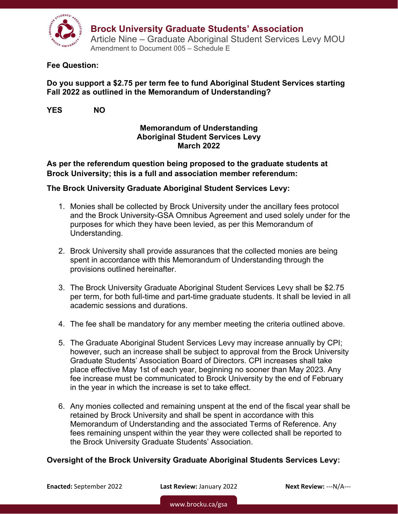

#### **Fee Question:**

## **Do you support a \$2.75 per term fee to fund Aboriginal Student Services starting Fall 2022 as outlined in the Memorandum of Understanding?**

**YES NO** 

## **Memorandum of Understanding Aboriginal Student Services Levy March 2022**

**As per the referendum question being proposed to the graduate students at Brock University; this is a full and association member referendum:** 

### **The Brock University Graduate Aboriginal Student Services Levy:**

- 1. Monies shall be collected by Brock University under the ancillary fees protocol and the Brock University-GSA Omnibus Agreement and used solely under for the purposes for which they have been levied, as per this Memorandum of Understanding.
- 2. Brock University shall provide assurances that the collected monies are being spent in accordance with this Memorandum of Understanding through the provisions outlined hereinafter.
- 3. The Brock University Graduate Aboriginal Student Services Levy shall be \$2.75 per term, for both full-time and part-time graduate students. It shall be levied in all academic sessions and durations.
- 4. The fee shall be mandatory for any member meeting the criteria outlined above.
- 5. The Graduate Aboriginal Student Services Levy may increase annually by CPI; however, such an increase shall be subject to approval from the Brock University Graduate Students' Association Board of Directors. CPI increases shall take place effective May 1st of each year, beginning no sooner than May 2023. Any fee increase must be communicated to Brock University by the end of February in the year in which the increase is set to take effect.
- 6. Any monies collected and remaining unspent at the end of the fiscal year shall be retained by Brock University and shall be spent in accordance with this Memorandum of Understanding and the associated Terms of Reference. Any fees remaining unspent within the year they were collected shall be reported to the Brock University Graduate Students' Association.

## **Oversight of the Brock University Graduate Aboriginal Students Services Levy:**

**Enacted:** September 2022 **Last Review:** January 2022 **Next Review:** ‐‐‐N/A‐‐‐

www.brocku.ca/gsa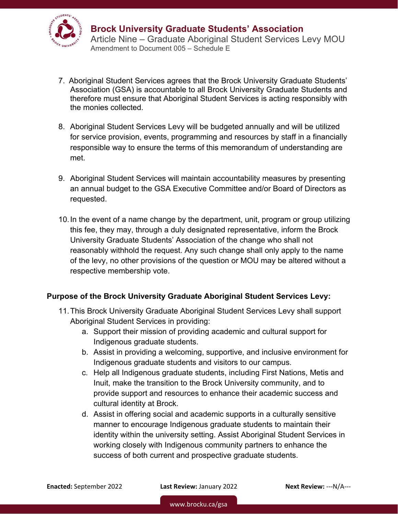

- 7. Aboriginal Student Services agrees that the Brock University Graduate Students' Association (GSA) is accountable to all Brock University Graduate Students and therefore must ensure that Aboriginal Student Services is acting responsibly with the monies collected.
- 8. Aboriginal Student Services Levy will be budgeted annually and will be utilized for service provision, events, programming and resources by staff in a financially responsible way to ensure the terms of this memorandum of understanding are met.
- 9. Aboriginal Student Services will maintain accountability measures by presenting an annual budget to the GSA Executive Committee and/or Board of Directors as requested.
- 10. In the event of a name change by the department, unit, program or group utilizing this fee, they may, through a duly designated representative, inform the Brock University Graduate Students' Association of the change who shall not reasonably withhold the request. Any such change shall only apply to the name of the levy, no other provisions of the question or MOU may be altered without a respective membership vote.

## **Purpose of the Brock University Graduate Aboriginal Student Services Levy:**

- 11. This Brock University Graduate Aboriginal Student Services Levy shall support Aboriginal Student Services in providing:
	- a. Support their mission of providing academic and cultural support for Indigenous graduate students.
	- b. Assist in providing a welcoming, supportive, and inclusive environment for Indigenous graduate students and visitors to our campus.
	- c. Help all Indigenous graduate students, including First Nations, Metis and Inuit, make the transition to the Brock University community, and to provide support and resources to enhance their academic success and cultural identity at Brock.
	- d. Assist in offering social and academic supports in a culturally sensitive manner to encourage Indigenous graduate students to maintain their identity within the university setting. Assist Aboriginal Student Services in working closely with Indigenous community partners to enhance the success of both current and prospective graduate students.

**Enacted:** September 2022 **Last Review:** January 2022 **Next Review:** ‐‐‐N/A‐‐‐